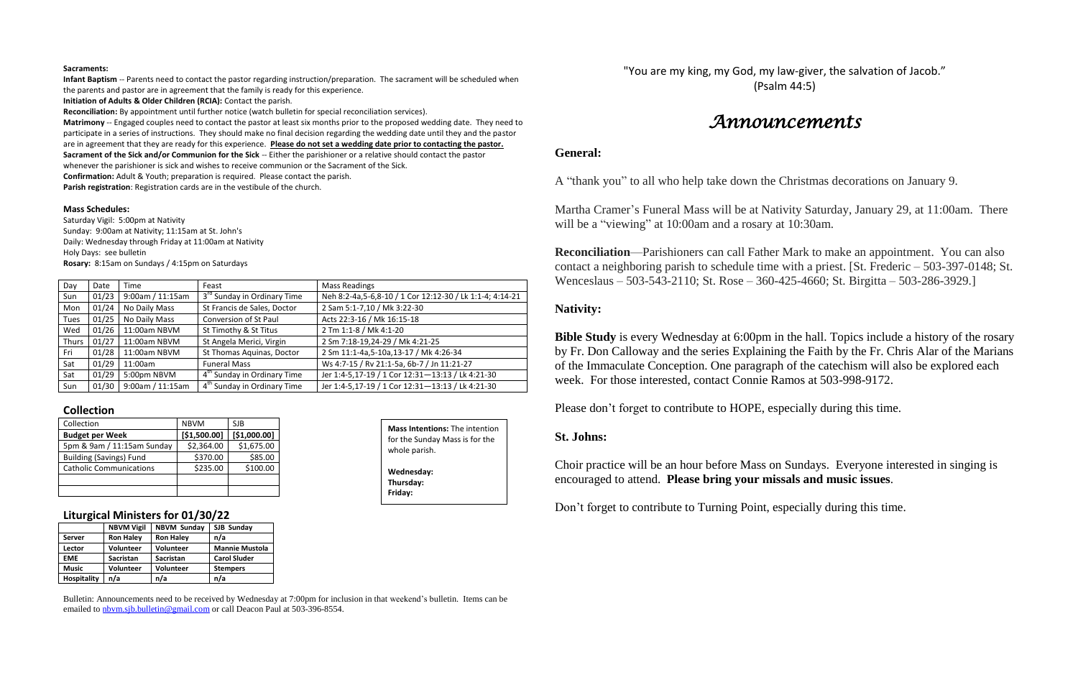#### **Sacraments:**

**Infant Baptism** -- Parents need to contact the pastor regarding instruction/preparation. The sacrament will be scheduled when the parents and pastor are in agreement that the family is ready for this experience.

**Initiation of Adults & Older Children (RCIA):** Contact the parish.

**Reconciliation:** By appointment until further notice (watch bulletin for special reconciliation services).

**Matrimony** -- Engaged couples need to contact the pastor at least six months prior to the proposed wedding date. They need to participate in a series of instructions. They should make no final decision regarding the wedding date until they and the pastor are in agreement that they are ready for this experience. **Please do not set a wedding date prior to contacting the pastor. Sacrament of the Sick and/or Communion for the Sick** -- Either the parishioner or a relative should contact the pastor whenever the parishioner is sick and wishes to receive communion or the Sacrament of the Sick.

**Confirmation:** Adult & Youth; preparation is required. Please contact the parish.

**Parish registration**: Registration cards are in the vestibule of the church.

#### **Mass Schedules:**

Saturday Vigil: 5:00pm at Nativity Sunday: 9:00am at Nativity; 11:15am at St. John's Daily: Wednesday through Friday at 11:00am at Nativity Holy Days: see bulletin **Rosary:** 8:15am on Sundays / 4:15pm on Saturdays

| Day          | Date  | Time             | Feast                                   | <b>Mass Readings</b>                                     |
|--------------|-------|------------------|-----------------------------------------|----------------------------------------------------------|
| Sun          | 01/23 | 9:00am / 11:15am | 3 <sup>rd</sup> Sunday in Ordinary Time | Neh 8:2-4a,5-6,8-10 / 1 Cor 12:12-30 / Lk 1:1-4; 4:14-21 |
| Mon          | 01/24 | No Daily Mass    | St Francis de Sales, Doctor             | 2 Sam 5:1-7,10 / Mk 3:22-30                              |
| <b>Tues</b>  | 01/25 | No Daily Mass    | Conversion of St Paul                   | Acts 22:3-16 / Mk 16:15-18                               |
| Wed          | 01/26 | 11:00am NBVM     | St Timothy & St Titus                   | 2 Tm 1:1-8 / Mk 4:1-20                                   |
| <b>Thurs</b> | 01/27 | 11:00am NBVM     | St Angela Merici, Virgin                | 2 Sm 7:18-19,24-29 / Mk 4:21-25                          |
| Fri          | 01/28 | 11:00am NBVM     | St Thomas Aquinas, Doctor               | 2 Sm 11:1-4a,5-10a,13-17 / Mk 4:26-34                    |
| Sat          | 01/29 | 11:00am          | <b>Funeral Mass</b>                     | Ws 4:7-15 / Rv 21:1-5a, 6b-7 / Jn 11:21-27               |
| Sat          | 01/29 | 5:00pm NBVM      | 4 <sup>th</sup> Sunday in Ordinary Time | Jer 1:4-5,17-19 / 1 Cor 12:31-13:13 / Lk 4:21-30         |
| Sun          | 01/30 | 9:00am / 11:15am | 4 <sup>th</sup> Sunday in Ordinary Time | Jer 1:4-5,17-19 / 1 Cor 12:31-13:13 / Lk 4:21-30         |

**Bible Study** is every Wednesday at 6:00pm in the hall. Topics include a history of the rosary by Fr. Don Calloway and the series Explaining the Faith by the Fr. Chris Alar of the Marians of the Immaculate Conception. One paragraph of the catechism will also be explored each week. For those interested, contact Connie Ramos at 503-998-9172.

#### **Collection**

| Collection                     | <b>NBVM</b>  | SJB          |
|--------------------------------|--------------|--------------|
| <b>Budget per Week</b>         | [\$1,500.00] | [\$1,000.00] |
| 5pm & 9am / 11:15am Sunday     | \$2,364.00   | \$1,675.00   |
| <b>Building (Savings) Fund</b> | \$370.00     | \$85.00      |
| <b>Catholic Communications</b> | \$235.00     | \$100.00     |
|                                |              |              |
|                                |              |              |

### **Liturgical Ministers for 01/30/22**

|                    | <b>NBVM Vigil</b> | <b>NBVM Sunday</b> | SJB Sunday            |  |  |
|--------------------|-------------------|--------------------|-----------------------|--|--|
| Server             | <b>Ron Haley</b>  | <b>Ron Haley</b>   | n/a                   |  |  |
| Lector             | <b>Volunteer</b>  | <b>Volunteer</b>   | <b>Mannie Mustola</b> |  |  |
| <b>EME</b>         | <b>Sacristan</b>  | <b>Sacristan</b>   | <b>Carol Sluder</b>   |  |  |
| <b>Music</b>       | <b>Volunteer</b>  | Volunteer          | <b>Stempers</b>       |  |  |
| <b>Hospitality</b> | n/a               | n/a                | n/a                   |  |  |

Bulletin: Announcements need to be received by Wednesday at 7:00pm for inclusion in that weekend's bulletin. Items can be emailed to [nbvm.sjb.bulletin@gmail.com](mailto:nbvm.sjb.bulletin@gmail.com) or call Deacon Paul at 503-396-8554.

"You are my king, my God, my law-giver, the salvation of Jacob." (Psalm 44:5)

# *Announcements*

## **General:**

A "thank you" to all who help take down the Christmas decorations on January 9.

Martha Cramer's Funeral Mass will be at Nativity Saturday, January 29, at 11:00am. There will be a "viewing" at 10:00am and a rosary at 10:30am.

**Reconciliation**—Parishioners can call Father Mark to make an appointment. You can also contact a neighboring parish to schedule time with a priest. [St. Frederic – 503-397-0148; St. Wenceslaus – 503-543-2110; St. Rose – 360-425-4660; St. Birgitta – 503-286-3929.]

## **Nativity:**

Please don't forget to contribute to HOPE, especially during this time.

# **St. Johns:**

Choir practice will be an hour before Mass on Sundays. Everyone interested in singing is encouraged to attend. **Please bring your missals and music issues**.

Don't forget to contribute to Turning Point, especially during this time.

**Mass Intentions:** The intention for the Sunday Mass is for the whole parish. **Wednesday: Thursday: Friday:**